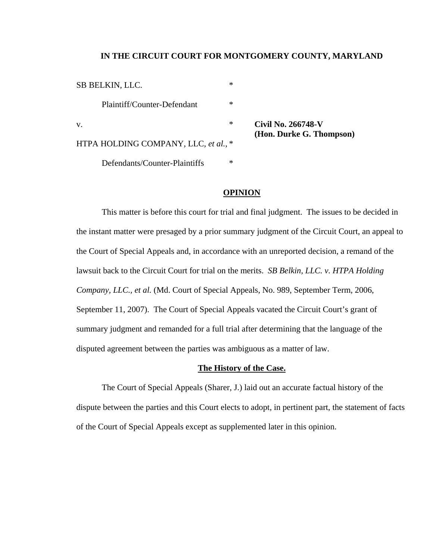## **IN THE CIRCUIT COURT FOR MONTGOMERY COUNTY, MARYLAND**

| <b>SB BELKIN, LLC.</b>               | *            |
|--------------------------------------|--------------|
| Plaintiff/Counter-Defendant          | *            |
| V.                                   | ∗<br>Civil N |
| HTPA HOLDING COMPANY, LLC, et al., * | (Hon.)       |
| Defendants/Counter-Plaintiffs        | *            |

v. \* **Civil No. 266748-V (Durke G. Thompson)** 

# **OPINION**

 This matter is before this court for trial and final judgment. The issues to be decided in the instant matter were presaged by a prior summary judgment of the Circuit Court, an appeal to the Court of Special Appeals and, in accordance with an unreported decision, a remand of the lawsuit back to the Circuit Court for trial on the merits. *SB Belkin, LLC. v. HTPA Holding Company, LLC., et al.* (Md. Court of Special Appeals, No. 989, September Term, 2006, September 11, 2007). The Court of Special Appeals vacated the Circuit Court's grant of summary judgment and remanded for a full trial after determining that the language of the disputed agreement between the parties was ambiguous as a matter of law.

### **The History of the Case.**

 The Court of Special Appeals (Sharer, J.) laid out an accurate factual history of the dispute between the parties and this Court elects to adopt, in pertinent part, the statement of facts of the Court of Special Appeals except as supplemented later in this opinion.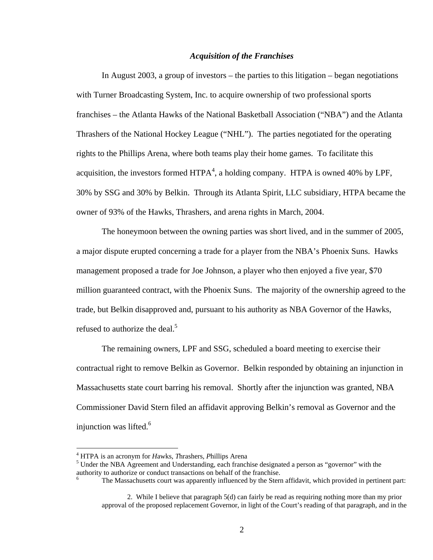# *Acquisition of the Franchises*

 In August 2003, a group of investors – the parties to this litigation – began negotiations with Turner Broadcasting System, Inc. to acquire ownership of two professional sports franchises – the Atlanta Hawks of the National Basketball Association ("NBA") and the Atlanta Thrashers of the National Hockey League ("NHL"). The parties negotiated for the operating rights to the Phillips Arena, where both teams play their home games. To facilitate this acquisition, the investors formed  $HTPA<sup>4</sup>$ , a holding company. HTPA is owned 40% by LPF, 30% by SSG and 30% by Belkin. Through its Atlanta Spirit, LLC subsidiary, HTPA became the owner of 93% of the Hawks, Thrashers, and arena rights in March, 2004.

 The honeymoon between the owning parties was short lived, and in the summer of 2005, a major dispute erupted concerning a trade for a player from the NBA's Phoenix Suns. Hawks management proposed a trade for Joe Johnson, a player who then enjoyed a five year, \$70 million guaranteed contract, with the Phoenix Suns. The majority of the ownership agreed to the trade, but Belkin disapproved and, pursuant to his authority as NBA Governor of the Hawks, refused to authorize the deal.<sup>5</sup>

 The remaining owners, LPF and SSG, scheduled a board meeting to exercise their contractual right to remove Belkin as Governor. Belkin responded by obtaining an injunction in Massachusetts state court barring his removal. Shortly after the injunction was granted, NBA Commissioner David Stern filed an affidavit approving Belkin's removal as Governor and the injunction was lifted. $6$ 

 $\overline{a}$ 

<sup>&</sup>lt;sup>4</sup> HTPA is an acronym for *Hawks*, *Thrashers*, *Phillips Arena* 5 Under the NBA Acrossment and Understanding, each franch

 $<sup>5</sup>$  Under the NBA Agreement and Understanding, each franchise designated a person as "governor" with the</sup> authority to authorize or conduct transactions on behalf of the franchise. 6

The Massachusetts court was apparently influenced by the Stern affidavit, which provided in pertinent part:

 <sup>2.</sup> While I believe that paragraph 5(d) can fairly be read as requiring nothing more than my prior approval of the proposed replacement Governor, in light of the Court's reading of that paragraph, and in the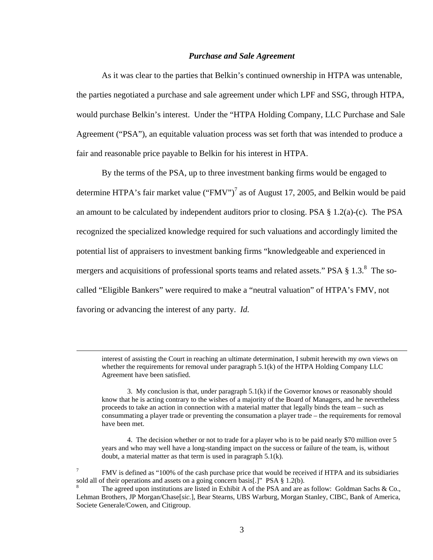#### *Purchase and Sale Agreement*

 As it was clear to the parties that Belkin's continued ownership in HTPA was untenable, the parties negotiated a purchase and sale agreement under which LPF and SSG, through HTPA, would purchase Belkin's interest. Under the "HTPA Holding Company, LLC Purchase and Sale Agreement ("PSA"), an equitable valuation process was set forth that was intended to produce a fair and reasonable price payable to Belkin for his interest in HTPA.

 By the terms of the PSA, up to three investment banking firms would be engaged to determine HTPA's fair market value ("FMV")<sup>7</sup> as of August 17, 2005, and Belkin would be paid an amount to be calculated by independent auditors prior to closing. PSA § 1.2(a)-(c). The PSA recognized the specialized knowledge required for such valuations and accordingly limited the potential list of appraisers to investment banking firms "knowledgeable and experienced in mergers and acquisitions of professional sports teams and related assets." PSA  $\S 1.3$ .<sup>8</sup> The socalled "Eligible Bankers" were required to make a "neutral valuation" of HTPA's FMV, not favoring or advancing the interest of any party. *Id.*

 interest of assisting the Court in reaching an ultimate determination, I submit herewith my own views on whether the requirements for removal under paragraph 5.1(k) of the HTPA Holding Company LLC Agreement have been satisfied.

 3. My conclusion is that, under paragraph 5.1(k) if the Governor knows or reasonably should know that he is acting contrary to the wishes of a majority of the Board of Managers, and he nevertheless proceeds to take an action in connection with a material matter that legally binds the team – such as consummating a player trade or preventing the consumation a player trade – the requirements for removal have been met.

 4. The decision whether or not to trade for a player who is to be paid nearly \$70 million over 5 years and who may well have a long-standing impact on the success or failure of the team, is, without doubt, a material matter as that term is used in paragraph 5.1(k).

<sup>7</sup> FMV is defined as "100% of the cash purchase price that would be received if HTPA and its subsidiaries sold all of their operations and assets on a going concern basis[.]" PSA § 1.2(b).

<sup>8</sup> The agreed upon institutions are listed in Exhibit A of the PSA and are as follow: Goldman Sachs & Co., Lehman Brothers, JP Morgan/Chase[*sic.*], Bear Stearns, UBS Warburg, Morgan Stanley, CIBC, Bank of America, Societe Generale/Cowen, and Citigroup.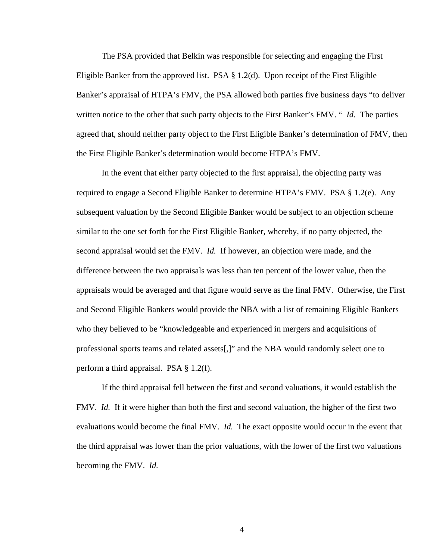The PSA provided that Belkin was responsible for selecting and engaging the First Eligible Banker from the approved list. PSA  $\S$  1.2(d). Upon receipt of the First Eligible Banker's appraisal of HTPA's FMV, the PSA allowed both parties five business days "to deliver written notice to the other that such party objects to the First Banker's FMV. " *Id.* The parties agreed that, should neither party object to the First Eligible Banker's determination of FMV, then the First Eligible Banker's determination would become HTPA's FMV.

 In the event that either party objected to the first appraisal, the objecting party was required to engage a Second Eligible Banker to determine HTPA's FMV. PSA § 1.2(e). Any subsequent valuation by the Second Eligible Banker would be subject to an objection scheme similar to the one set forth for the First Eligible Banker, whereby, if no party objected, the second appraisal would set the FMV. *Id.* If however, an objection were made, and the difference between the two appraisals was less than ten percent of the lower value, then the appraisals would be averaged and that figure would serve as the final FMV.Otherwise, the First and Second Eligible Bankers would provide the NBA with a list of remaining Eligible Bankers who they believed to be "knowledgeable and experienced in mergers and acquisitions of professional sports teams and related assets[,]" and the NBA would randomly select one to perform a third appraisal. PSA § 1.2(f).

 If the third appraisal fell between the first and second valuations, it would establish the FMV. *Id.* If it were higher than both the first and second valuation, the higher of the first two evaluations would become the final FMV. *Id.* The exact opposite would occur in the event that the third appraisal was lower than the prior valuations, with the lower of the first two valuations becoming the FMV. *Id.*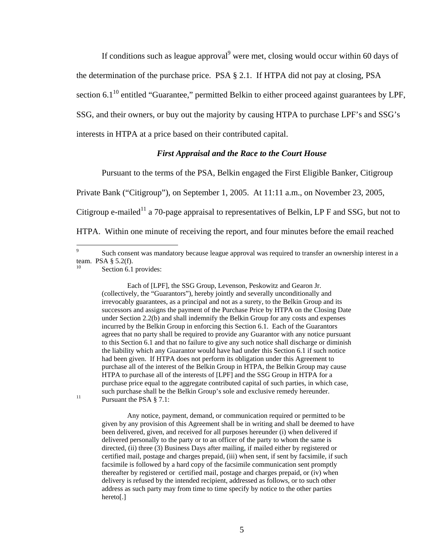If conditions such as league approval $9$  were met, closing would occur within 60 days of the determination of the purchase price. PSA § 2.1. If HTPA did not pay at closing, PSA section  $6.1^{10}$  entitled "Guarantee," permitted Belkin to either proceed against guarantees by LPF, SSG, and their owners, or buy out the majority by causing HTPA to purchase LPF's and SSG's interests in HTPA at a price based on their contributed capital.

## *First Appraisal and the Race to the Court House*

Pursuant to the terms of the PSA, Belkin engaged the First Eligible Banker, Citigroup

Private Bank ("Citigroup"), on September 1, 2005. At 11:11 a.m., on November 23, 2005,

Citigroup e-mailed<sup>11</sup> a 70-page appraisal to representatives of Belkin, LP F and SSG, but not to

HTPA. Within one minute of receiving the report, and four minutes before the email reached

 Each of [LPF], the SSG Group, Levenson, Peskowitz and Gearon Jr. (collectively, the "Guarantors"), hereby jointly and severally unconditionally and irrevocably guarantees, as a principal and not as a surety, to the Belkin Group and its successors and assigns the payment of the Purchase Price by HTPA on the Closing Date under Section 2.2(b) and shall indemnify the Belkin Group for any costs and expenses incurred by the Belkin Group in enforcing this Section 6.1. Each of the Guarantors agrees that no party shall be required to provide any Guarantor with any notice pursuant to this Section 6.1 and that no failure to give any such notice shall discharge or diminish the liability which any Guarantor would have had under this Section 6.1 if such notice had been given. If HTPA does not perform its obligation under this Agreement to purchase all of the interest of the Belkin Group in HTPA, the Belkin Group may cause HTPA to purchase all of the interests of [LPF] and the SSG Group in HTPA for a purchase price equal to the aggregate contributed capital of such parties, in which case, such purchase shall be the Belkin Group's sole and exclusive remedy hereunder.<br>Pursuant the PSA § 7.1:

 Any notice, payment, demand, or communication required or permitted to be given by any provision of this Agreement shall be in writing and shall be deemed to have been delivered, given, and received for all purposes hereunder (i) when delivered if delivered personally to the party or to an officer of the party to whom the same is directed, (ii) three (3) Business Days after mailing, if mailed either by registered or certified mail, postage and charges prepaid, (iii) when sent, if sent by facsimile, if such facsimile is followed by a hard copy of the facsimile communication sent promptly thereafter by registered or certified mail, postage and charges prepaid, or (iv) when delivery is refused by the intended recipient, addressed as follows, or to such other address as such party may from time to time specify by notice to the other parties hereto[.]

<sup>-&</sup>lt;br>9 Such consent was mandatory because league approval was required to transfer an ownership interest in a team. PSA § 5.2(f).

Section 6.1 provides: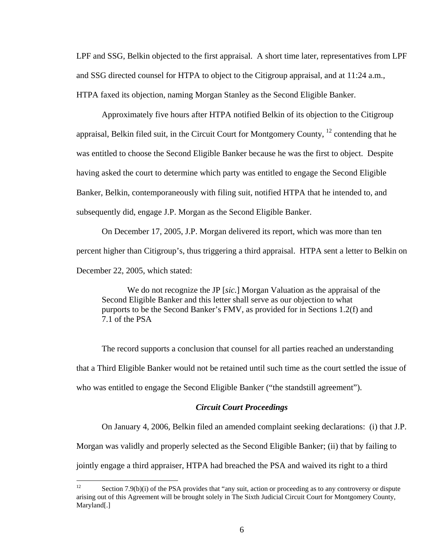LPF and SSG, Belkin objected to the first appraisal. A short time later, representatives from LPF and SSG directed counsel for HTPA to object to the Citigroup appraisal, and at 11:24 a.m., HTPA faxed its objection, naming Morgan Stanley as the Second Eligible Banker.

 Approximately five hours after HTPA notified Belkin of its objection to the Citigroup appraisal, Belkin filed suit, in the Circuit Court for Montgomery County,  $^{12}$  contending that he was entitled to choose the Second Eligible Banker because he was the first to object. Despite having asked the court to determine which party was entitled to engage the Second Eligible Banker, Belkin, contemporaneously with filing suit, notified HTPA that he intended to, and subsequently did, engage J.P. Morgan as the Second Eligible Banker.

 On December 17, 2005, J.P. Morgan delivered its report, which was more than ten percent higher than Citigroup's, thus triggering a third appraisal. HTPA sent a letter to Belkin on December 22, 2005, which stated:

 We do not recognize the JP [*sic.*] Morgan Valuation as the appraisal of the Second Eligible Banker and this letter shall serve as our objection to what purports to be the Second Banker's FMV, as provided for in Sections 1.2(f) and 7.1 of the PSA

 The record supports a conclusion that counsel for all parties reached an understanding that a Third Eligible Banker would not be retained until such time as the court settled the issue of who was entitled to engage the Second Eligible Banker ("the standstill agreement").

# *Circuit Court Proceedings*

On January 4, 2006, Belkin filed an amended complaint seeking declarations: (i) that J.P.

Morgan was validly and properly selected as the Second Eligible Banker; (ii) that by failing to

jointly engage a third appraiser, HTPA had breached the PSA and waived its right to a third

 $12$ Section 7.9(b)(i) of the PSA provides that "any suit, action or proceeding as to any controversy or dispute arising out of this Agreement will be brought solely in The Sixth Judicial Circuit Court for Montgomery County, Maryland[.]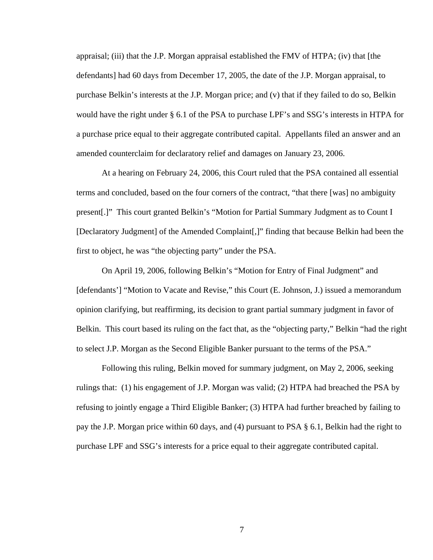appraisal; (iii) that the J.P. Morgan appraisal established the FMV of HTPA; (iv) that [the defendants] had 60 days from December 17, 2005, the date of the J.P. Morgan appraisal, to purchase Belkin's interests at the J.P. Morgan price; and (v) that if they failed to do so, Belkin would have the right under § 6.1 of the PSA to purchase LPF's and SSG's interests in HTPA for a purchase price equal to their aggregate contributed capital. Appellants filed an answer and an amended counterclaim for declaratory relief and damages on January 23, 2006.

 At a hearing on February 24, 2006, this Court ruled that the PSA contained all essential terms and concluded, based on the four corners of the contract, "that there [was] no ambiguity present[.]" This court granted Belkin's "Motion for Partial Summary Judgment as to Count I [Declaratory Judgment] of the Amended Complaint[,]" finding that because Belkin had been the first to object, he was "the objecting party" under the PSA.

 On April 19, 2006, following Belkin's "Motion for Entry of Final Judgment" and [defendants'] "Motion to Vacate and Revise," this Court (E. Johnson, J.) issued a memorandum opinion clarifying, but reaffirming, its decision to grant partial summary judgment in favor of Belkin. This court based its ruling on the fact that, as the "objecting party," Belkin "had the right to select J.P. Morgan as the Second Eligible Banker pursuant to the terms of the PSA."

 Following this ruling, Belkin moved for summary judgment, on May 2, 2006, seeking rulings that: (1) his engagement of J.P. Morgan was valid; (2) HTPA had breached the PSA by refusing to jointly engage a Third Eligible Banker; (3) HTPA had further breached by failing to pay the J.P. Morgan price within 60 days, and (4) pursuant to PSA § 6.1, Belkin had the right to purchase LPF and SSG's interests for a price equal to their aggregate contributed capital.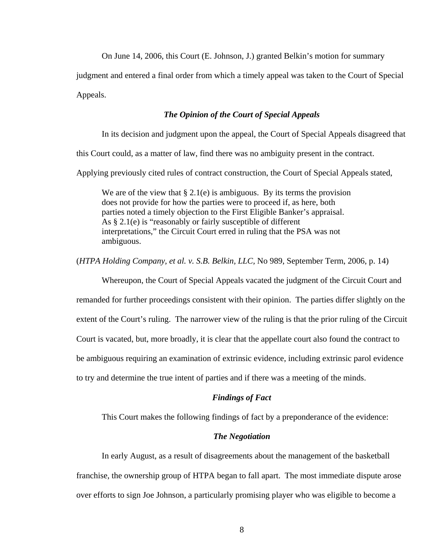On June 14, 2006, this Court (E. Johnson, J.) granted Belkin's motion for summary

judgment and entered a final order from which a timely appeal was taken to the Court of Special Appeals.

# *The Opinion of the Court of Special Appeals*

In its decision and judgment upon the appeal, the Court of Special Appeals disagreed that

this Court could, as a matter of law, find there was no ambiguity present in the contract.

Applying previously cited rules of contract construction, the Court of Special Appeals stated,

We are of the view that  $\S 2.1(e)$  is ambiguous. By its terms the provision does not provide for how the parties were to proceed if, as here, both parties noted a timely objection to the First Eligible Banker's appraisal. As § 2.1(e) is "reasonably or fairly susceptible of different interpretations," the Circuit Court erred in ruling that the PSA was not ambiguous.

(*HTPA Holding Company, et al. v. S.B. Belkin, LLC,* No 989, September Term, 2006, p. 14)

Whereupon, the Court of Special Appeals vacated the judgment of the Circuit Court and remanded for further proceedings consistent with their opinion. The parties differ slightly on the extent of the Court's ruling. The narrower view of the ruling is that the prior ruling of the Circuit Court is vacated, but, more broadly, it is clear that the appellate court also found the contract to be ambiguous requiring an examination of extrinsic evidence, including extrinsic parol evidence to try and determine the true intent of parties and if there was a meeting of the minds.

# *Findings of Fact*

This Court makes the following findings of fact by a preponderance of the evidence:

## *The Negotiation*

 In early August, as a result of disagreements about the management of the basketball franchise, the ownership group of HTPA began to fall apart. The most immediate dispute arose over efforts to sign Joe Johnson, a particularly promising player who was eligible to become a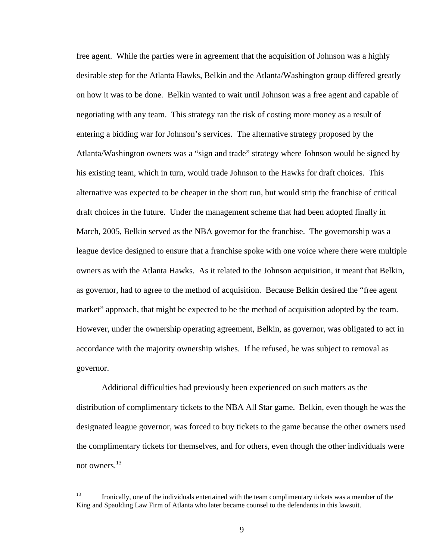free agent. While the parties were in agreement that the acquisition of Johnson was a highly desirable step for the Atlanta Hawks, Belkin and the Atlanta/Washington group differed greatly on how it was to be done. Belkin wanted to wait until Johnson was a free agent and capable of negotiating with any team. This strategy ran the risk of costing more money as a result of entering a bidding war for Johnson's services. The alternative strategy proposed by the Atlanta/Washington owners was a "sign and trade" strategy where Johnson would be signed by his existing team, which in turn, would trade Johnson to the Hawks for draft choices. This alternative was expected to be cheaper in the short run, but would strip the franchise of critical draft choices in the future. Under the management scheme that had been adopted finally in March, 2005, Belkin served as the NBA governor for the franchise. The governorship was a league device designed to ensure that a franchise spoke with one voice where there were multiple owners as with the Atlanta Hawks. As it related to the Johnson acquisition, it meant that Belkin, as governor, had to agree to the method of acquisition. Because Belkin desired the "free agent market" approach, that might be expected to be the method of acquisition adopted by the team. However, under the ownership operating agreement, Belkin, as governor, was obligated to act in accordance with the majority ownership wishes. If he refused, he was subject to removal as governor.

 Additional difficulties had previously been experienced on such matters as the distribution of complimentary tickets to the NBA All Star game. Belkin, even though he was the designated league governor, was forced to buy tickets to the game because the other owners used the complimentary tickets for themselves, and for others, even though the other individuals were not owners.<sup>13</sup>

<sup>13</sup> 13 Ironically, one of the individuals entertained with the team complimentary tickets was a member of the King and Spaulding Law Firm of Atlanta who later became counsel to the defendants in this lawsuit.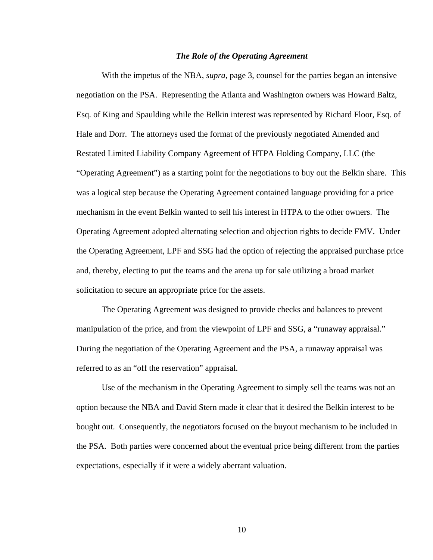#### *The Role of the Operating Agreement*

 With the impetus of the NBA, *supra,* page 3, counsel for the parties began an intensive negotiation on the PSA. Representing the Atlanta and Washington owners was Howard Baltz, Esq. of King and Spaulding while the Belkin interest was represented by Richard Floor, Esq. of Hale and Dorr. The attorneys used the format of the previously negotiated Amended and Restated Limited Liability Company Agreement of HTPA Holding Company, LLC (the "Operating Agreement") as a starting point for the negotiations to buy out the Belkin share. This was a logical step because the Operating Agreement contained language providing for a price mechanism in the event Belkin wanted to sell his interest in HTPA to the other owners. The Operating Agreement adopted alternating selection and objection rights to decide FMV. Under the Operating Agreement, LPF and SSG had the option of rejecting the appraised purchase price and, thereby, electing to put the teams and the arena up for sale utilizing a broad market solicitation to secure an appropriate price for the assets.

 The Operating Agreement was designed to provide checks and balances to prevent manipulation of the price, and from the viewpoint of LPF and SSG, a "runaway appraisal." During the negotiation of the Operating Agreement and the PSA, a runaway appraisal was referred to as an "off the reservation" appraisal.

 Use of the mechanism in the Operating Agreement to simply sell the teams was not an option because the NBA and David Stern made it clear that it desired the Belkin interest to be bought out. Consequently, the negotiators focused on the buyout mechanism to be included in the PSA. Both parties were concerned about the eventual price being different from the parties expectations, especially if it were a widely aberrant valuation.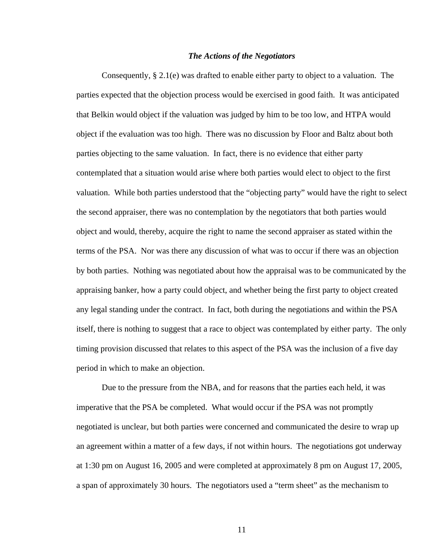### *The Actions of the Negotiators*

Consequently, § 2.1(e) was drafted to enable either party to object to a valuation. The parties expected that the objection process would be exercised in good faith. It was anticipated that Belkin would object if the valuation was judged by him to be too low, and HTPA would object if the evaluation was too high. There was no discussion by Floor and Baltz about both parties objecting to the same valuation. In fact, there is no evidence that either party contemplated that a situation would arise where both parties would elect to object to the first valuation. While both parties understood that the "objecting party" would have the right to select the second appraiser, there was no contemplation by the negotiators that both parties would object and would, thereby, acquire the right to name the second appraiser as stated within the terms of the PSA. Nor was there any discussion of what was to occur if there was an objection by both parties. Nothing was negotiated about how the appraisal was to be communicated by the appraising banker, how a party could object, and whether being the first party to object created any legal standing under the contract. In fact, both during the negotiations and within the PSA itself, there is nothing to suggest that a race to object was contemplated by either party. The only timing provision discussed that relates to this aspect of the PSA was the inclusion of a five day period in which to make an objection.

Due to the pressure from the NBA, and for reasons that the parties each held, it was imperative that the PSA be completed. What would occur if the PSA was not promptly negotiated is unclear, but both parties were concerned and communicated the desire to wrap up an agreement within a matter of a few days, if not within hours. The negotiations got underway at 1:30 pm on August 16, 2005 and were completed at approximately 8 pm on August 17, 2005, a span of approximately 30 hours. The negotiators used a "term sheet" as the mechanism to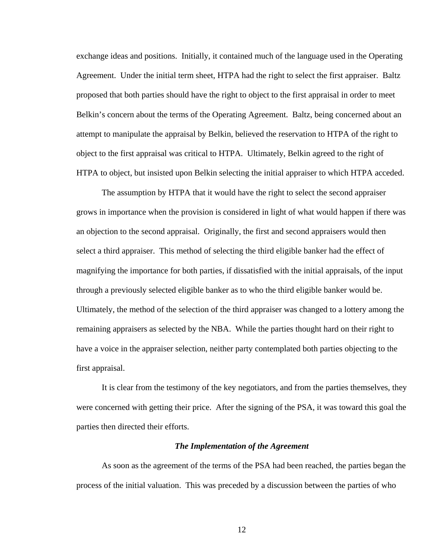exchange ideas and positions. Initially, it contained much of the language used in the Operating Agreement. Under the initial term sheet, HTPA had the right to select the first appraiser. Baltz proposed that both parties should have the right to object to the first appraisal in order to meet Belkin's concern about the terms of the Operating Agreement. Baltz, being concerned about an attempt to manipulate the appraisal by Belkin, believed the reservation to HTPA of the right to object to the first appraisal was critical to HTPA. Ultimately, Belkin agreed to the right of HTPA to object, but insisted upon Belkin selecting the initial appraiser to which HTPA acceded.

The assumption by HTPA that it would have the right to select the second appraiser grows in importance when the provision is considered in light of what would happen if there was an objection to the second appraisal. Originally, the first and second appraisers would then select a third appraiser. This method of selecting the third eligible banker had the effect of magnifying the importance for both parties, if dissatisfied with the initial appraisals, of the input through a previously selected eligible banker as to who the third eligible banker would be. Ultimately, the method of the selection of the third appraiser was changed to a lottery among the remaining appraisers as selected by the NBA. While the parties thought hard on their right to have a voice in the appraiser selection, neither party contemplated both parties objecting to the first appraisal.

It is clear from the testimony of the key negotiators, and from the parties themselves, they were concerned with getting their price. After the signing of the PSA, it was toward this goal the parties then directed their efforts.

### *The Implementation of the Agreement*

 As soon as the agreement of the terms of the PSA had been reached, the parties began the process of the initial valuation. This was preceded by a discussion between the parties of who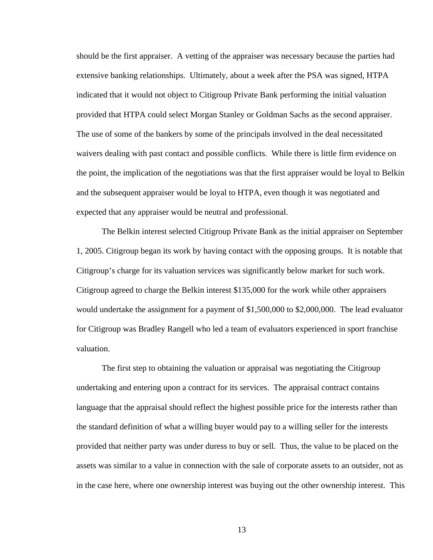should be the first appraiser. A vetting of the appraiser was necessary because the parties had extensive banking relationships. Ultimately, about a week after the PSA was signed, HTPA indicated that it would not object to Citigroup Private Bank performing the initial valuation provided that HTPA could select Morgan Stanley or Goldman Sachs as the second appraiser. The use of some of the bankers by some of the principals involved in the deal necessitated waivers dealing with past contact and possible conflicts. While there is little firm evidence on the point, the implication of the negotiations was that the first appraiser would be loyal to Belkin and the subsequent appraiser would be loyal to HTPA, even though it was negotiated and expected that any appraiser would be neutral and professional.

 The Belkin interest selected Citigroup Private Bank as the initial appraiser on September 1, 2005. Citigroup began its work by having contact with the opposing groups. It is notable that Citigroup's charge for its valuation services was significantly below market for such work. Citigroup agreed to charge the Belkin interest \$135,000 for the work while other appraisers would undertake the assignment for a payment of \$1,500,000 to \$2,000,000. The lead evaluator for Citigroup was Bradley Rangell who led a team of evaluators experienced in sport franchise valuation.

The first step to obtaining the valuation or appraisal was negotiating the Citigroup undertaking and entering upon a contract for its services. The appraisal contract contains language that the appraisal should reflect the highest possible price for the interests rather than the standard definition of what a willing buyer would pay to a willing seller for the interests provided that neither party was under duress to buy or sell. Thus, the value to be placed on the assets was similar to a value in connection with the sale of corporate assets to an outsider, not as in the case here, where one ownership interest was buying out the other ownership interest. This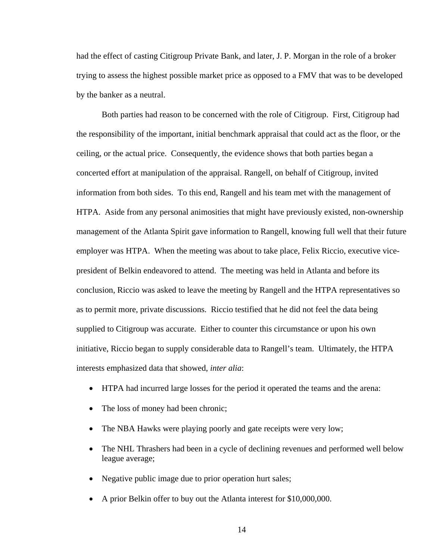had the effect of casting Citigroup Private Bank, and later, J. P. Morgan in the role of a broker trying to assess the highest possible market price as opposed to a FMV that was to be developed by the banker as a neutral.

 Both parties had reason to be concerned with the role of Citigroup. First, Citigroup had the responsibility of the important, initial benchmark appraisal that could act as the floor, or the ceiling, or the actual price. Consequently, the evidence shows that both parties began a concerted effort at manipulation of the appraisal. Rangell, on behalf of Citigroup, invited information from both sides. To this end, Rangell and his team met with the management of HTPA. Aside from any personal animosities that might have previously existed, non-ownership management of the Atlanta Spirit gave information to Rangell, knowing full well that their future employer was HTPA. When the meeting was about to take place, Felix Riccio, executive vicepresident of Belkin endeavored to attend. The meeting was held in Atlanta and before its conclusion, Riccio was asked to leave the meeting by Rangell and the HTPA representatives so as to permit more, private discussions. Riccio testified that he did not feel the data being supplied to Citigroup was accurate. Either to counter this circumstance or upon his own initiative, Riccio began to supply considerable data to Rangell's team. Ultimately, the HTPA interests emphasized data that showed, *inter alia*:

- HTPA had incurred large losses for the period it operated the teams and the arena:
- The loss of money had been chronic;
- The NBA Hawks were playing poorly and gate receipts were very low;
- The NHL Thrashers had been in a cycle of declining revenues and performed well below league average;
- Negative public image due to prior operation hurt sales;
- A prior Belkin offer to buy out the Atlanta interest for \$10,000,000.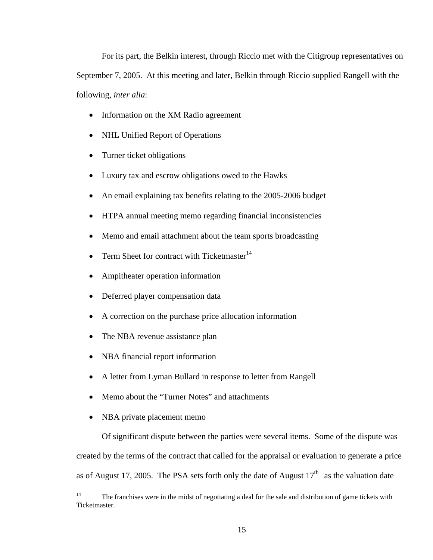For its part, the Belkin interest, through Riccio met with the Citigroup representatives on September 7, 2005. At this meeting and later, Belkin through Riccio supplied Rangell with the following, *inter alia*:

- Information on the XM Radio agreement
- NHL Unified Report of Operations
- Turner ticket obligations
- Luxury tax and escrow obligations owed to the Hawks
- An email explaining tax benefits relating to the 2005-2006 budget
- HTPA annual meeting memo regarding financial inconsistencies
- Memo and email attachment about the team sports broadcasting
- Term Sheet for contract with Ticketmaster $14$
- Ampitheater operation information
- Deferred player compensation data
- A correction on the purchase price allocation information
- The NBA revenue assistance plan
- NBA financial report information
- A letter from Lyman Bullard in response to letter from Rangell
- Memo about the "Turner Notes" and attachments
- NBA private placement memo

Of significant dispute between the parties were several items. Some of the dispute was created by the terms of the contract that called for the appraisal or evaluation to generate a price as of August 17, 2005. The PSA sets forth only the date of August  $17<sup>th</sup>$  as the valuation date

 $14\,$ The franchises were in the midst of negotiating a deal for the sale and distribution of game tickets with Ticketmaster.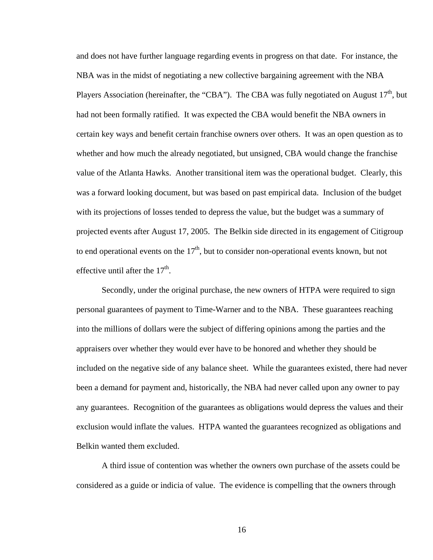and does not have further language regarding events in progress on that date. For instance, the NBA was in the midst of negotiating a new collective bargaining agreement with the NBA Players Association (hereinafter, the "CBA"). The CBA was fully negotiated on August  $17<sup>th</sup>$ , but had not been formally ratified. It was expected the CBA would benefit the NBA owners in certain key ways and benefit certain franchise owners over others. It was an open question as to whether and how much the already negotiated, but unsigned, CBA would change the franchise value of the Atlanta Hawks. Another transitional item was the operational budget. Clearly, this was a forward looking document, but was based on past empirical data. Inclusion of the budget with its projections of losses tended to depress the value, but the budget was a summary of projected events after August 17, 2005. The Belkin side directed in its engagement of Citigroup to end operational events on the  $17<sup>th</sup>$ , but to consider non-operational events known, but not effective until after the  $17<sup>th</sup>$ .

Secondly, under the original purchase, the new owners of HTPA were required to sign personal guarantees of payment to Time-Warner and to the NBA. These guarantees reaching into the millions of dollars were the subject of differing opinions among the parties and the appraisers over whether they would ever have to be honored and whether they should be included on the negative side of any balance sheet. While the guarantees existed, there had never been a demand for payment and, historically, the NBA had never called upon any owner to pay any guarantees. Recognition of the guarantees as obligations would depress the values and their exclusion would inflate the values. HTPA wanted the guarantees recognized as obligations and Belkin wanted them excluded.

A third issue of contention was whether the owners own purchase of the assets could be considered as a guide or indicia of value. The evidence is compelling that the owners through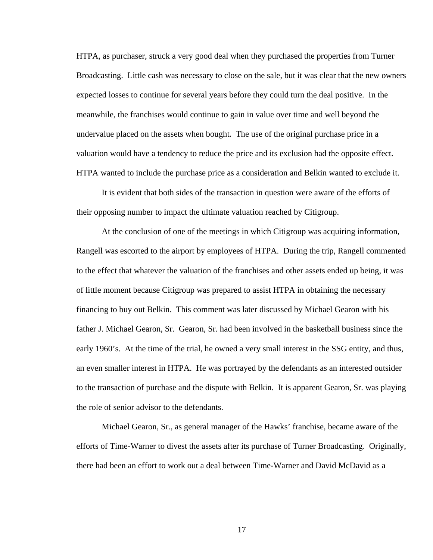HTPA, as purchaser, struck a very good deal when they purchased the properties from Turner Broadcasting. Little cash was necessary to close on the sale, but it was clear that the new owners expected losses to continue for several years before they could turn the deal positive. In the meanwhile, the franchises would continue to gain in value over time and well beyond the undervalue placed on the assets when bought. The use of the original purchase price in a valuation would have a tendency to reduce the price and its exclusion had the opposite effect. HTPA wanted to include the purchase price as a consideration and Belkin wanted to exclude it.

It is evident that both sides of the transaction in question were aware of the efforts of their opposing number to impact the ultimate valuation reached by Citigroup.

At the conclusion of one of the meetings in which Citigroup was acquiring information, Rangell was escorted to the airport by employees of HTPA. During the trip, Rangell commented to the effect that whatever the valuation of the franchises and other assets ended up being, it was of little moment because Citigroup was prepared to assist HTPA in obtaining the necessary financing to buy out Belkin. This comment was later discussed by Michael Gearon with his father J. Michael Gearon, Sr. Gearon, Sr. had been involved in the basketball business since the early 1960's. At the time of the trial, he owned a very small interest in the SSG entity, and thus, an even smaller interest in HTPA. He was portrayed by the defendants as an interested outsider to the transaction of purchase and the dispute with Belkin. It is apparent Gearon, Sr. was playing the role of senior advisor to the defendants.

 Michael Gearon, Sr., as general manager of the Hawks' franchise, became aware of the efforts of Time-Warner to divest the assets after its purchase of Turner Broadcasting. Originally, there had been an effort to work out a deal between Time-Warner and David McDavid as a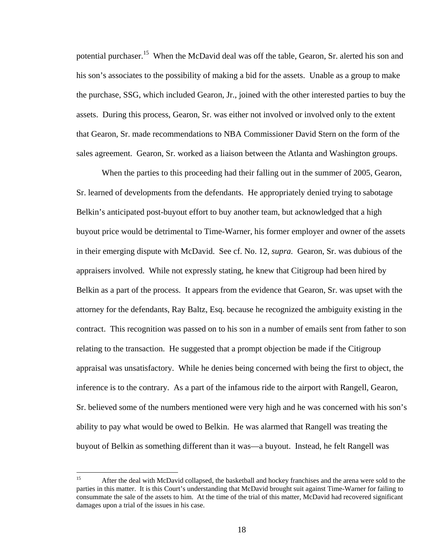potential purchaser.<sup>15</sup> When the McDavid deal was off the table, Gearon, Sr. alerted his son and his son's associates to the possibility of making a bid for the assets. Unable as a group to make the purchase, SSG, which included Gearon, Jr., joined with the other interested parties to buy the assets. During this process, Gearon, Sr. was either not involved or involved only to the extent that Gearon, Sr. made recommendations to NBA Commissioner David Stern on the form of the sales agreement. Gearon, Sr. worked as a liaison between the Atlanta and Washington groups.

When the parties to this proceeding had their falling out in the summer of 2005, Gearon, Sr. learned of developments from the defendants. He appropriately denied trying to sabotage Belkin's anticipated post-buyout effort to buy another team, but acknowledged that a high buyout price would be detrimental to Time-Warner, his former employer and owner of the assets in their emerging dispute with McDavid. See cf. No. 12, *supra.* Gearon, Sr. was dubious of the appraisers involved. While not expressly stating, he knew that Citigroup had been hired by Belkin as a part of the process. It appears from the evidence that Gearon, Sr. was upset with the attorney for the defendants, Ray Baltz, Esq. because he recognized the ambiguity existing in the contract. This recognition was passed on to his son in a number of emails sent from father to son relating to the transaction. He suggested that a prompt objection be made if the Citigroup appraisal was unsatisfactory. While he denies being concerned with being the first to object, the inference is to the contrary. As a part of the infamous ride to the airport with Rangell, Gearon, Sr. believed some of the numbers mentioned were very high and he was concerned with his son's ability to pay what would be owed to Belkin. He was alarmed that Rangell was treating the buyout of Belkin as something different than it was—a buyout. Instead, he felt Rangell was

<sup>15</sup> After the deal with McDavid collapsed, the basketball and hockey franchises and the arena were sold to the parties in this matter. It is this Court's understanding that McDavid brought suit against Time-Warner for failing to consummate the sale of the assets to him. At the time of the trial of this matter, McDavid had recovered significant damages upon a trial of the issues in his case.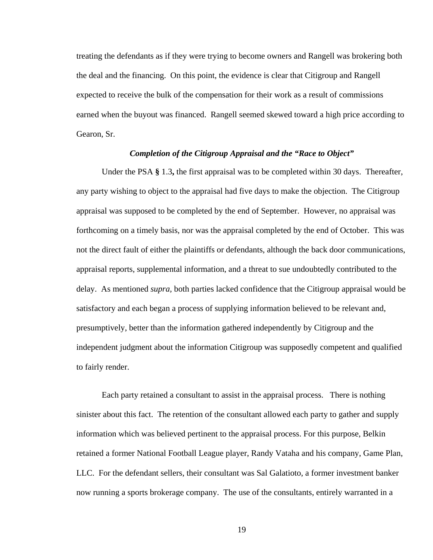treating the defendants as if they were trying to become owners and Rangell was brokering both the deal and the financing. On this point, the evidence is clear that Citigroup and Rangell expected to receive the bulk of the compensation for their work as a result of commissions earned when the buyout was financed. Rangell seemed skewed toward a high price according to Gearon, Sr.

# *Completion of the Citigroup Appraisal and the "Race to Object"*

 Under the PSA **§** 1.3**,** the first appraisal was to be completed within 30 days. Thereafter, any party wishing to object to the appraisal had five days to make the objection. The Citigroup appraisal was supposed to be completed by the end of September. However, no appraisal was forthcoming on a timely basis, nor was the appraisal completed by the end of October. This was not the direct fault of either the plaintiffs or defendants, although the back door communications, appraisal reports, supplemental information, and a threat to sue undoubtedly contributed to the delay. As mentioned *supra,* both parties lacked confidence that the Citigroup appraisal would be satisfactory and each began a process of supplying information believed to be relevant and, presumptively, better than the information gathered independently by Citigroup and the independent judgment about the information Citigroup was supposedly competent and qualified to fairly render.

 Each party retained a consultant to assist in the appraisal process. There is nothing sinister about this fact. The retention of the consultant allowed each party to gather and supply information which was believed pertinent to the appraisal process. For this purpose, Belkin retained a former National Football League player, Randy Vataha and his company, Game Plan, LLC. For the defendant sellers, their consultant was Sal Galatioto, a former investment banker now running a sports brokerage company. The use of the consultants, entirely warranted in a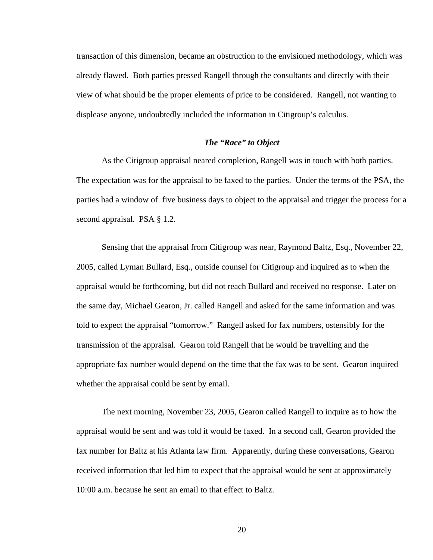transaction of this dimension, became an obstruction to the envisioned methodology, which was already flawed. Both parties pressed Rangell through the consultants and directly with their view of what should be the proper elements of price to be considered. Rangell, not wanting to displease anyone, undoubtedly included the information in Citigroup's calculus.

# *The "Race" to Object*

 As the Citigroup appraisal neared completion, Rangell was in touch with both parties. The expectation was for the appraisal to be faxed to the parties. Under the terms of the PSA, the parties had a window of five business days to object to the appraisal and trigger the process for a second appraisal. PSA § 1.2.

 Sensing that the appraisal from Citigroup was near, Raymond Baltz, Esq., November 22, 2005, called Lyman Bullard, Esq., outside counsel for Citigroup and inquired as to when the appraisal would be forthcoming, but did not reach Bullard and received no response. Later on the same day, Michael Gearon, Jr. called Rangell and asked for the same information and was told to expect the appraisal "tomorrow." Rangell asked for fax numbers, ostensibly for the transmission of the appraisal. Gearon told Rangell that he would be travelling and the appropriate fax number would depend on the time that the fax was to be sent. Gearon inquired whether the appraisal could be sent by email.

 The next morning, November 23, 2005, Gearon called Rangell to inquire as to how the appraisal would be sent and was told it would be faxed. In a second call, Gearon provided the fax number for Baltz at his Atlanta law firm. Apparently, during these conversations, Gearon received information that led him to expect that the appraisal would be sent at approximately 10:00 a.m. because he sent an email to that effect to Baltz.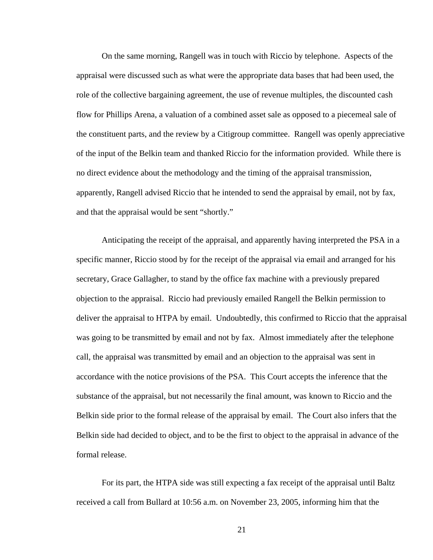On the same morning, Rangell was in touch with Riccio by telephone. Aspects of the appraisal were discussed such as what were the appropriate data bases that had been used, the role of the collective bargaining agreement, the use of revenue multiples, the discounted cash flow for Phillips Arena, a valuation of a combined asset sale as opposed to a piecemeal sale of the constituent parts, and the review by a Citigroup committee. Rangell was openly appreciative of the input of the Belkin team and thanked Riccio for the information provided. While there is no direct evidence about the methodology and the timing of the appraisal transmission, apparently, Rangell advised Riccio that he intended to send the appraisal by email, not by fax, and that the appraisal would be sent "shortly."

 Anticipating the receipt of the appraisal, and apparently having interpreted the PSA in a specific manner, Riccio stood by for the receipt of the appraisal via email and arranged for his secretary, Grace Gallagher, to stand by the office fax machine with a previously prepared objection to the appraisal. Riccio had previously emailed Rangell the Belkin permission to deliver the appraisal to HTPA by email. Undoubtedly, this confirmed to Riccio that the appraisal was going to be transmitted by email and not by fax. Almost immediately after the telephone call, the appraisal was transmitted by email and an objection to the appraisal was sent in accordance with the notice provisions of the PSA. This Court accepts the inference that the substance of the appraisal, but not necessarily the final amount, was known to Riccio and the Belkin side prior to the formal release of the appraisal by email. The Court also infers that the Belkin side had decided to object, and to be the first to object to the appraisal in advance of the formal release.

 For its part, the HTPA side was still expecting a fax receipt of the appraisal until Baltz received a call from Bullard at 10:56 a.m. on November 23, 2005, informing him that the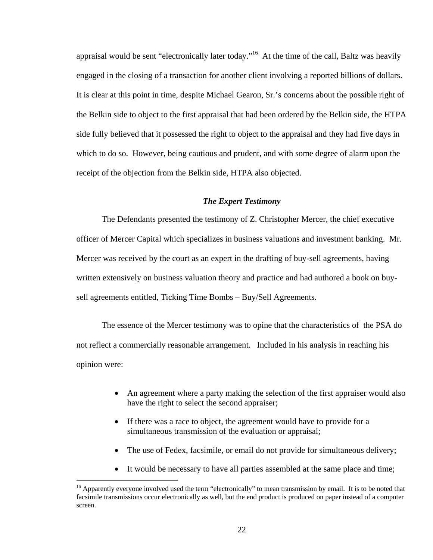appraisal would be sent "electronically later today."16 At the time of the call, Baltz was heavily engaged in the closing of a transaction for another client involving a reported billions of dollars. It is clear at this point in time, despite Michael Gearon, Sr.'s concerns about the possible right of the Belkin side to object to the first appraisal that had been ordered by the Belkin side, the HTPA side fully believed that it possessed the right to object to the appraisal and they had five days in which to do so. However, being cautious and prudent, and with some degree of alarm upon the receipt of the objection from the Belkin side, HTPA also objected.

## *The Expert Testimony*

 The Defendants presented the testimony of Z. Christopher Mercer, the chief executive officer of Mercer Capital which specializes in business valuations and investment banking. Mr. Mercer was received by the court as an expert in the drafting of buy-sell agreements, having written extensively on business valuation theory and practice and had authored a book on buysell agreements entitled, Ticking Time Bombs – Buy/Sell Agreements.

 The essence of the Mercer testimony was to opine that the characteristics of the PSA do not reflect a commercially reasonable arrangement. Included in his analysis in reaching his opinion were:

- An agreement where a party making the selection of the first appraiser would also have the right to select the second appraiser;
- If there was a race to object, the agreement would have to provide for a simultaneous transmission of the evaluation or appraisal;
- The use of Fedex, facsimile, or email do not provide for simultaneous delivery;
- It would be necessary to have all parties assembled at the same place and time;

<sup>&</sup>lt;sup>16</sup> Apparently everyone involved used the term "electronically" to mean transmission by email. It is to be noted that facsimile transmissions occur electronically as well, but the end product is produced on paper instead of a computer screen.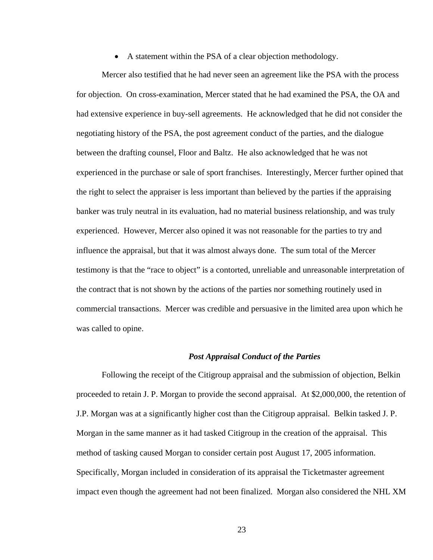A statement within the PSA of a clear objection methodology.

Mercer also testified that he had never seen an agreement like the PSA with the process for objection. On cross-examination, Mercer stated that he had examined the PSA, the OA and had extensive experience in buy-sell agreements. He acknowledged that he did not consider the negotiating history of the PSA, the post agreement conduct of the parties, and the dialogue between the drafting counsel, Floor and Baltz. He also acknowledged that he was not experienced in the purchase or sale of sport franchises. Interestingly, Mercer further opined that the right to select the appraiser is less important than believed by the parties if the appraising banker was truly neutral in its evaluation, had no material business relationship, and was truly experienced. However, Mercer also opined it was not reasonable for the parties to try and influence the appraisal, but that it was almost always done. The sum total of the Mercer testimony is that the "race to object" is a contorted, unreliable and unreasonable interpretation of the contract that is not shown by the actions of the parties nor something routinely used in commercial transactions. Mercer was credible and persuasive in the limited area upon which he was called to opine.

### *Post Appraisal Conduct of the Parties*

Following the receipt of the Citigroup appraisal and the submission of objection, Belkin proceeded to retain J. P. Morgan to provide the second appraisal. At \$2,000,000, the retention of J.P. Morgan was at a significantly higher cost than the Citigroup appraisal. Belkin tasked J. P. Morgan in the same manner as it had tasked Citigroup in the creation of the appraisal. This method of tasking caused Morgan to consider certain post August 17, 2005 information. Specifically, Morgan included in consideration of its appraisal the Ticketmaster agreement impact even though the agreement had not been finalized. Morgan also considered the NHL XM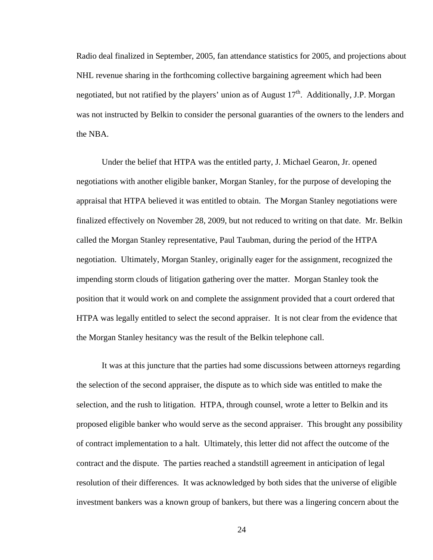Radio deal finalized in September, 2005, fan attendance statistics for 2005, and projections about NHL revenue sharing in the forthcoming collective bargaining agreement which had been negotiated, but not ratified by the players' union as of August  $17<sup>th</sup>$ . Additionally, J.P. Morgan was not instructed by Belkin to consider the personal guaranties of the owners to the lenders and the NBA.

Under the belief that HTPA was the entitled party, J. Michael Gearon, Jr. opened negotiations with another eligible banker, Morgan Stanley, for the purpose of developing the appraisal that HTPA believed it was entitled to obtain. The Morgan Stanley negotiations were finalized effectively on November 28, 2009, but not reduced to writing on that date. Mr. Belkin called the Morgan Stanley representative, Paul Taubman, during the period of the HTPA negotiation. Ultimately, Morgan Stanley, originally eager for the assignment, recognized the impending storm clouds of litigation gathering over the matter. Morgan Stanley took the position that it would work on and complete the assignment provided that a court ordered that HTPA was legally entitled to select the second appraiser. It is not clear from the evidence that the Morgan Stanley hesitancy was the result of the Belkin telephone call.

It was at this juncture that the parties had some discussions between attorneys regarding the selection of the second appraiser, the dispute as to which side was entitled to make the selection, and the rush to litigation. HTPA, through counsel, wrote a letter to Belkin and its proposed eligible banker who would serve as the second appraiser. This brought any possibility of contract implementation to a halt. Ultimately, this letter did not affect the outcome of the contract and the dispute. The parties reached a standstill agreement in anticipation of legal resolution of their differences. It was acknowledged by both sides that the universe of eligible investment bankers was a known group of bankers, but there was a lingering concern about the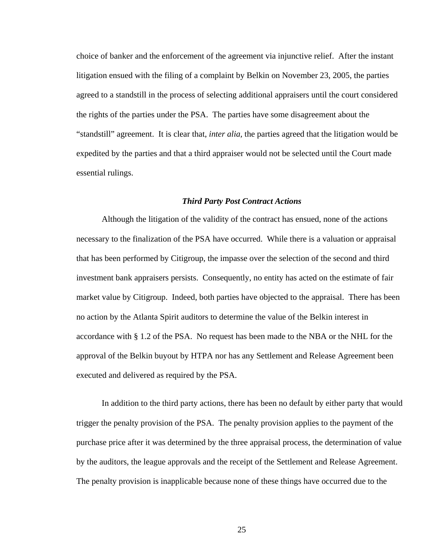choice of banker and the enforcement of the agreement via injunctive relief. After the instant litigation ensued with the filing of a complaint by Belkin on November 23, 2005, the parties agreed to a standstill in the process of selecting additional appraisers until the court considered the rights of the parties under the PSA. The parties have some disagreement about the "standstill" agreement. It is clear that, *inter alia,* the parties agreed that the litigation would be expedited by the parties and that a third appraiser would not be selected until the Court made essential rulings.

### *Third Party Post Contract Actions*

 Although the litigation of the validity of the contract has ensued, none of the actions necessary to the finalization of the PSA have occurred. While there is a valuation or appraisal that has been performed by Citigroup, the impasse over the selection of the second and third investment bank appraisers persists. Consequently, no entity has acted on the estimate of fair market value by Citigroup. Indeed, both parties have objected to the appraisal. There has been no action by the Atlanta Spirit auditors to determine the value of the Belkin interest in accordance with § 1.2 of the PSA. No request has been made to the NBA or the NHL for the approval of the Belkin buyout by HTPA nor has any Settlement and Release Agreement been executed and delivered as required by the PSA.

 In addition to the third party actions, there has been no default by either party that would trigger the penalty provision of the PSA. The penalty provision applies to the payment of the purchase price after it was determined by the three appraisal process, the determination of value by the auditors, the league approvals and the receipt of the Settlement and Release Agreement. The penalty provision is inapplicable because none of these things have occurred due to the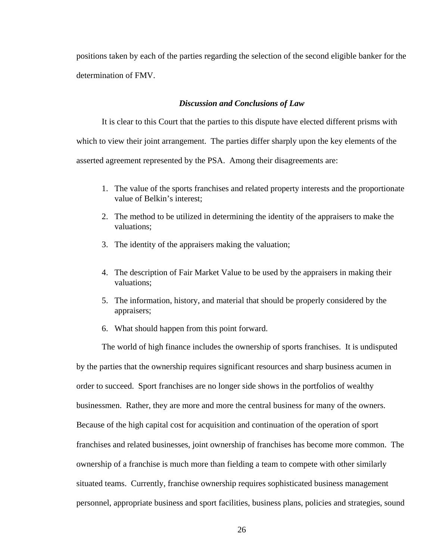positions taken by each of the parties regarding the selection of the second eligible banker for the determination of FMV.

## *Discussion and Conclusions of Law*

 It is clear to this Court that the parties to this dispute have elected different prisms with which to view their joint arrangement. The parties differ sharply upon the key elements of the asserted agreement represented by the PSA. Among their disagreements are:

- 1. The value of the sports franchises and related property interests and the proportionate value of Belkin's interest;
- 2. The method to be utilized in determining the identity of the appraisers to make the valuations;
- 3. The identity of the appraisers making the valuation;
- 4. The description of Fair Market Value to be used by the appraisers in making their valuations;
- 5. The information, history, and material that should be properly considered by the appraisers;
- 6. What should happen from this point forward.

The world of high finance includes the ownership of sports franchises. It is undisputed by the parties that the ownership requires significant resources and sharp business acumen in order to succeed. Sport franchises are no longer side shows in the portfolios of wealthy businessmen. Rather, they are more and more the central business for many of the owners. Because of the high capital cost for acquisition and continuation of the operation of sport franchises and related businesses, joint ownership of franchises has become more common. The ownership of a franchise is much more than fielding a team to compete with other similarly situated teams. Currently, franchise ownership requires sophisticated business management personnel, appropriate business and sport facilities, business plans, policies and strategies, sound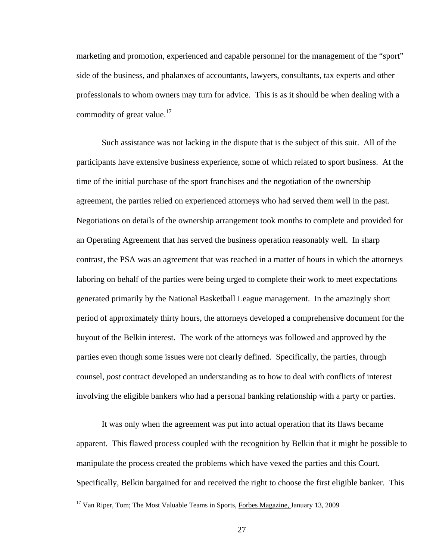marketing and promotion, experienced and capable personnel for the management of the "sport" side of the business, and phalanxes of accountants, lawyers, consultants, tax experts and other professionals to whom owners may turn for advice. This is as it should be when dealing with a commodity of great value. $17$ 

Such assistance was not lacking in the dispute that is the subject of this suit. All of the participants have extensive business experience, some of which related to sport business. At the time of the initial purchase of the sport franchises and the negotiation of the ownership agreement, the parties relied on experienced attorneys who had served them well in the past. Negotiations on details of the ownership arrangement took months to complete and provided for an Operating Agreement that has served the business operation reasonably well. In sharp contrast, the PSA was an agreement that was reached in a matter of hours in which the attorneys laboring on behalf of the parties were being urged to complete their work to meet expectations generated primarily by the National Basketball League management. In the amazingly short period of approximately thirty hours, the attorneys developed a comprehensive document for the buyout of the Belkin interest. The work of the attorneys was followed and approved by the parties even though some issues were not clearly defined. Specifically, the parties, through counsel, *post* contract developed an understanding as to how to deal with conflicts of interest involving the eligible bankers who had a personal banking relationship with a party or parties.

It was only when the agreement was put into actual operation that its flaws became apparent. This flawed process coupled with the recognition by Belkin that it might be possible to manipulate the process created the problems which have vexed the parties and this Court. Specifically, Belkin bargained for and received the right to choose the first eligible banker. This

 $\overline{a}$ 

<sup>&</sup>lt;sup>17</sup> Van Riper, Tom; The Most Valuable Teams in Sports, *Forbes Magazine*, January 13, 2009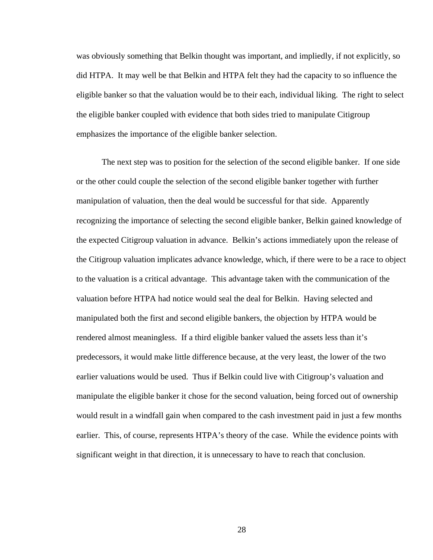was obviously something that Belkin thought was important, and impliedly, if not explicitly, so did HTPA. It may well be that Belkin and HTPA felt they had the capacity to so influence the eligible banker so that the valuation would be to their each, individual liking. The right to select the eligible banker coupled with evidence that both sides tried to manipulate Citigroup emphasizes the importance of the eligible banker selection.

The next step was to position for the selection of the second eligible banker. If one side or the other could couple the selection of the second eligible banker together with further manipulation of valuation, then the deal would be successful for that side. Apparently recognizing the importance of selecting the second eligible banker, Belkin gained knowledge of the expected Citigroup valuation in advance. Belkin's actions immediately upon the release of the Citigroup valuation implicates advance knowledge, which, if there were to be a race to object to the valuation is a critical advantage. This advantage taken with the communication of the valuation before HTPA had notice would seal the deal for Belkin. Having selected and manipulated both the first and second eligible bankers, the objection by HTPA would be rendered almost meaningless. If a third eligible banker valued the assets less than it's predecessors, it would make little difference because, at the very least, the lower of the two earlier valuations would be used. Thus if Belkin could live with Citigroup's valuation and manipulate the eligible banker it chose for the second valuation, being forced out of ownership would result in a windfall gain when compared to the cash investment paid in just a few months earlier. This, of course, represents HTPA's theory of the case. While the evidence points with significant weight in that direction, it is unnecessary to have to reach that conclusion.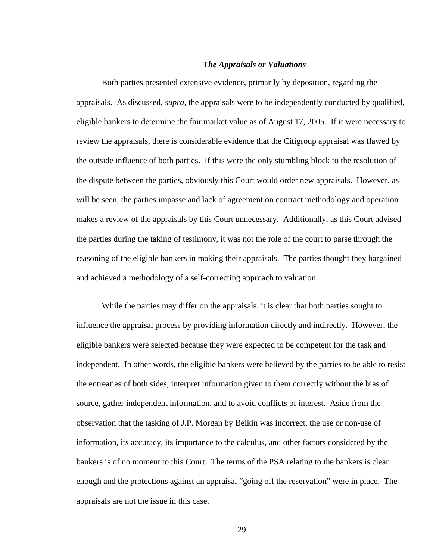## *The Appraisals or Valuations*

 Both parties presented extensive evidence, primarily by deposition, regarding the appraisals. As discussed, *supra,* the appraisals were to be independently conducted by qualified, eligible bankers to determine the fair market value as of August 17, 2005. If it were necessary to review the appraisals, there is considerable evidence that the Citigroup appraisal was flawed by the outside influence of both parties. If this were the only stumbling block to the resolution of the dispute between the parties, obviously this Court would order new appraisals. However, as will be seen, the parties impasse and lack of agreement on contract methodology and operation makes a review of the appraisals by this Court unnecessary. Additionally, as this Court advised the parties during the taking of testimony, it was not the role of the court to parse through the reasoning of the eligible bankers in making their appraisals. The parties thought they bargained and achieved a methodology of a self-correcting approach to valuation.

While the parties may differ on the appraisals, it is clear that both parties sought to influence the appraisal process by providing information directly and indirectly. However, the eligible bankers were selected because they were expected to be competent for the task and independent. In other words, the eligible bankers were believed by the parties to be able to resist the entreaties of both sides, interpret information given to them correctly without the bias of source, gather independent information, and to avoid conflicts of interest. Aside from the observation that the tasking of J.P. Morgan by Belkin was incorrect, the use or non-use of information, its accuracy, its importance to the calculus, and other factors considered by the bankers is of no moment to this Court. The terms of the PSA relating to the bankers is clear enough and the protections against an appraisal "going off the reservation" were in place. The appraisals are not the issue in this case.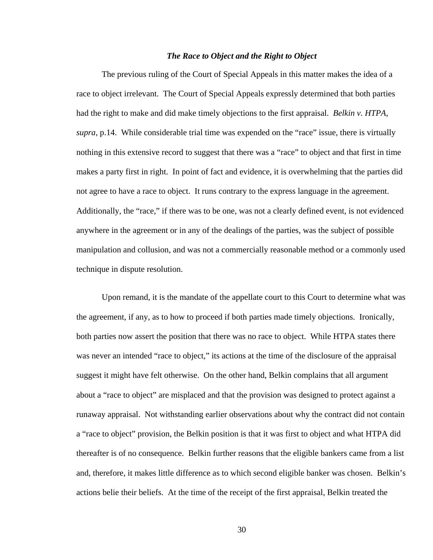# *The Race to Object and the Right to Object*

 The previous ruling of the Court of Special Appeals in this matter makes the idea of a race to object irrelevant. The Court of Special Appeals expressly determined that both parties had the right to make and did make timely objections to the first appraisal. *Belkin v. HTPA*, *supra*, p.14. While considerable trial time was expended on the "race" issue, there is virtually nothing in this extensive record to suggest that there was a "race" to object and that first in time makes a party first in right. In point of fact and evidence, it is overwhelming that the parties did not agree to have a race to object. It runs contrary to the express language in the agreement. Additionally, the "race," if there was to be one, was not a clearly defined event, is not evidenced anywhere in the agreement or in any of the dealings of the parties, was the subject of possible manipulation and collusion, and was not a commercially reasonable method or a commonly used technique in dispute resolution.

Upon remand, it is the mandate of the appellate court to this Court to determine what was the agreement, if any, as to how to proceed if both parties made timely objections. Ironically, both parties now assert the position that there was no race to object. While HTPA states there was never an intended "race to object," its actions at the time of the disclosure of the appraisal suggest it might have felt otherwise. On the other hand, Belkin complains that all argument about a "race to object" are misplaced and that the provision was designed to protect against a runaway appraisal. Not withstanding earlier observations about why the contract did not contain a "race to object" provision, the Belkin position is that it was first to object and what HTPA did thereafter is of no consequence. Belkin further reasons that the eligible bankers came from a list and, therefore, it makes little difference as to which second eligible banker was chosen. Belkin's actions belie their beliefs. At the time of the receipt of the first appraisal, Belkin treated the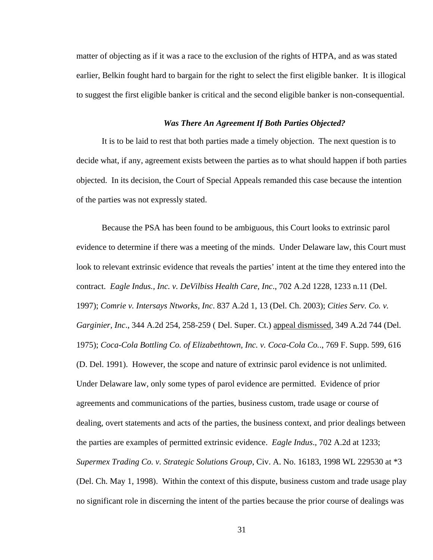matter of objecting as if it was a race to the exclusion of the rights of HTPA, and as was stated earlier, Belkin fought hard to bargain for the right to select the first eligible banker. It is illogical to suggest the first eligible banker is critical and the second eligible banker is non-consequential.

### *Was There An Agreement If Both Parties Objected?*

It is to be laid to rest that both parties made a timely objection. The next question is to decide what, if any, agreement exists between the parties as to what should happen if both parties objected. In its decision, the Court of Special Appeals remanded this case because the intention of the parties was not expressly stated.

Because the PSA has been found to be ambiguous, this Court looks to extrinsic parol evidence to determine if there was a meeting of the minds. Under Delaware law, this Court must look to relevant extrinsic evidence that reveals the parties' intent at the time they entered into the contract. *Eagle Indus., Inc. v. DeVilbiss Health Care, Inc*., 702 A.2d 1228, 1233 n.11 (Del. 1997); *Comrie v. Intersays Ntworks, Inc*. 837 A.2d 1, 13 (Del. Ch. 2003); *Cities Serv. Co. v. Garginier, Inc*., 344 A.2d 254, 258-259 ( Del. Super. Ct.) appeal dismissed, 349 A.2d 744 (Del. 1975); *Coca-Cola Bottling Co. of Elizabethtown, Inc. v. Coca-Cola Co.*., 769 F. Supp. 599, 616 (D. Del. 1991). However, the scope and nature of extrinsic parol evidence is not unlimited. Under Delaware law, only some types of parol evidence are permitted. Evidence of prior agreements and communications of the parties, business custom, trade usage or course of dealing, overt statements and acts of the parties, the business context, and prior dealings between the parties are examples of permitted extrinsic evidence. *Eagle Indus*., 702 A.2d at 1233; *Supermex Trading Co. v. Strategic Solutions Group*, Civ. A. No. 16183, 1998 WL 229530 at \*3 (Del. Ch. May 1, 1998). Within the context of this dispute, business custom and trade usage play no significant role in discerning the intent of the parties because the prior course of dealings was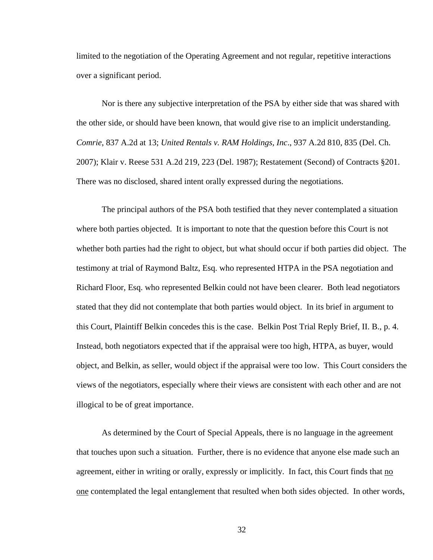limited to the negotiation of the Operating Agreement and not regular, repetitive interactions over a significant period.

Nor is there any subjective interpretation of the PSA by either side that was shared with the other side, or should have been known, that would give rise to an implicit understanding. *Comrie*, 837 A.2d at 13; *United Rentals v. RAM Holdings, Inc*., 937 A.2d 810, 835 (Del. Ch. 2007); Klair v. Reese 531 A.2d 219, 223 (Del. 1987); Restatement (Second) of Contracts §201. There was no disclosed, shared intent orally expressed during the negotiations.

The principal authors of the PSA both testified that they never contemplated a situation where both parties objected. It is important to note that the question before this Court is not whether both parties had the right to object, but what should occur if both parties did object. The testimony at trial of Raymond Baltz, Esq. who represented HTPA in the PSA negotiation and Richard Floor, Esq. who represented Belkin could not have been clearer. Both lead negotiators stated that they did not contemplate that both parties would object. In its brief in argument to this Court, Plaintiff Belkin concedes this is the case. Belkin Post Trial Reply Brief, II. B., p. 4. Instead, both negotiators expected that if the appraisal were too high, HTPA, as buyer, would object, and Belkin, as seller, would object if the appraisal were too low. This Court considers the views of the negotiators, especially where their views are consistent with each other and are not illogical to be of great importance.

As determined by the Court of Special Appeals, there is no language in the agreement that touches upon such a situation. Further, there is no evidence that anyone else made such an agreement, either in writing or orally, expressly or implicitly. In fact, this Court finds that no one contemplated the legal entanglement that resulted when both sides objected. In other words,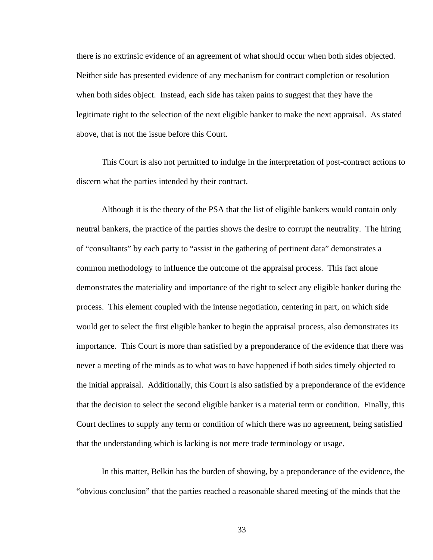there is no extrinsic evidence of an agreement of what should occur when both sides objected. Neither side has presented evidence of any mechanism for contract completion or resolution when both sides object. Instead, each side has taken pains to suggest that they have the legitimate right to the selection of the next eligible banker to make the next appraisal. As stated above, that is not the issue before this Court.

This Court is also not permitted to indulge in the interpretation of post-contract actions to discern what the parties intended by their contract.

Although it is the theory of the PSA that the list of eligible bankers would contain only neutral bankers, the practice of the parties shows the desire to corrupt the neutrality. The hiring of "consultants" by each party to "assist in the gathering of pertinent data" demonstrates a common methodology to influence the outcome of the appraisal process. This fact alone demonstrates the materiality and importance of the right to select any eligible banker during the process. This element coupled with the intense negotiation, centering in part, on which side would get to select the first eligible banker to begin the appraisal process, also demonstrates its importance. This Court is more than satisfied by a preponderance of the evidence that there was never a meeting of the minds as to what was to have happened if both sides timely objected to the initial appraisal. Additionally, this Court is also satisfied by a preponderance of the evidence that the decision to select the second eligible banker is a material term or condition. Finally, this Court declines to supply any term or condition of which there was no agreement, being satisfied that the understanding which is lacking is not mere trade terminology or usage.

In this matter, Belkin has the burden of showing, by a preponderance of the evidence, the "obvious conclusion" that the parties reached a reasonable shared meeting of the minds that the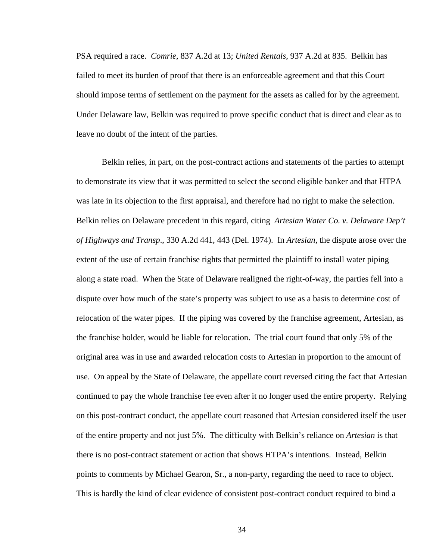PSA required a race. *Comrie*, 837 A.2d at 13; *United Rentals*, 937 A.2d at 835. Belkin has failed to meet its burden of proof that there is an enforceable agreement and that this Court should impose terms of settlement on the payment for the assets as called for by the agreement. Under Delaware law, Belkin was required to prove specific conduct that is direct and clear as to leave no doubt of the intent of the parties.

Belkin relies, in part, on the post-contract actions and statements of the parties to attempt to demonstrate its view that it was permitted to select the second eligible banker and that HTPA was late in its objection to the first appraisal, and therefore had no right to make the selection. Belkin relies on Delaware precedent in this regard, citing *Artesian Water Co. v. Delaware Dep't of Highways and Transp*., 330 A.2d 441, 443 (Del. 1974). In *Artesian*, the dispute arose over the extent of the use of certain franchise rights that permitted the plaintiff to install water piping along a state road. When the State of Delaware realigned the right-of-way, the parties fell into a dispute over how much of the state's property was subject to use as a basis to determine cost of relocation of the water pipes. If the piping was covered by the franchise agreement, Artesian, as the franchise holder, would be liable for relocation. The trial court found that only 5% of the original area was in use and awarded relocation costs to Artesian in proportion to the amount of use. On appeal by the State of Delaware, the appellate court reversed citing the fact that Artesian continued to pay the whole franchise fee even after it no longer used the entire property. Relying on this post-contract conduct, the appellate court reasoned that Artesian considered itself the user of the entire property and not just 5%. The difficulty with Belkin's reliance on *Artesian* is that there is no post-contract statement or action that shows HTPA's intentions. Instead, Belkin points to comments by Michael Gearon, Sr., a non-party, regarding the need to race to object. This is hardly the kind of clear evidence of consistent post-contract conduct required to bind a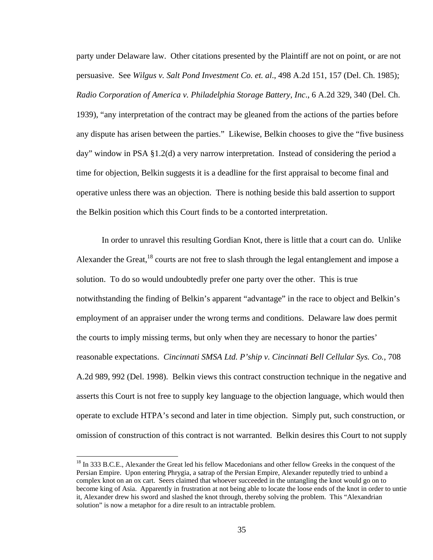party under Delaware law. Other citations presented by the Plaintiff are not on point, or are not persuasive. See *Wilgus v. Salt Pond Investment Co. et. al*., 498 A.2d 151, 157 (Del. Ch. 1985); *Radio Corporation of America v. Philadelphia Storage Battery, Inc*., 6 A.2d 329, 340 (Del. Ch. 1939), "any interpretation of the contract may be gleaned from the actions of the parties before any dispute has arisen between the parties." Likewise, Belkin chooses to give the "five business day" window in PSA §1.2(d) a very narrow interpretation. Instead of considering the period a time for objection, Belkin suggests it is a deadline for the first appraisal to become final and operative unless there was an objection. There is nothing beside this bald assertion to support the Belkin position which this Court finds to be a contorted interpretation.

In order to unravel this resulting Gordian Knot, there is little that a court can do. Unlike Alexander the Great,  $^{18}$  courts are not free to slash through the legal entanglement and impose a solution. To do so would undoubtedly prefer one party over the other. This is true notwithstanding the finding of Belkin's apparent "advantage" in the race to object and Belkin's employment of an appraiser under the wrong terms and conditions. Delaware law does permit the courts to imply missing terms, but only when they are necessary to honor the parties' reasonable expectations. *Cincinnati SMSA Ltd. P'ship v. Cincinnati Bell Cellular Sys. Co.*, 708 A.2d 989, 992 (Del. 1998). Belkin views this contract construction technique in the negative and asserts this Court is not free to supply key language to the objection language, which would then operate to exclude HTPA's second and later in time objection. Simply put, such construction, or omission of construction of this contract is not warranted. Belkin desires this Court to not supply

<sup>&</sup>lt;sup>18</sup> In 333 B.C.E., Alexander the Great led his fellow Macedonians and other fellow Greeks in the conquest of the Persian Empire. Upon entering Phrygia, a satrap of the Persian Empire, Alexander reputedly tried to unbind a complex knot on an ox cart. Seers claimed that whoever succeeded in the untangling the knot would go on to become king of Asia. Apparently in frustration at not being able to locate the loose ends of the knot in order to untie it, Alexander drew his sword and slashed the knot through, thereby solving the problem. This "Alexandrian solution" is now a metaphor for a dire result to an intractable problem.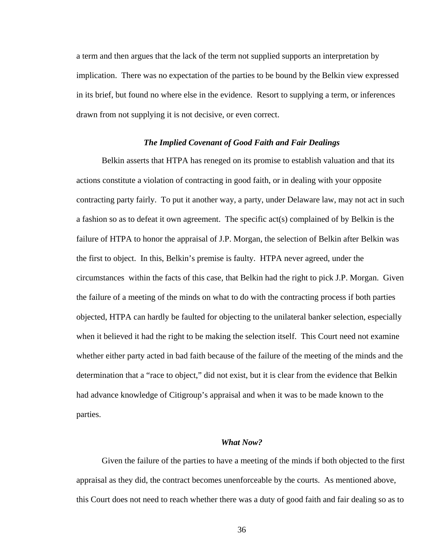a term and then argues that the lack of the term not supplied supports an interpretation by implication. There was no expectation of the parties to be bound by the Belkin view expressed in its brief, but found no where else in the evidence. Resort to supplying a term, or inferences drawn from not supplying it is not decisive, or even correct.

### *The Implied Covenant of Good Faith and Fair Dealings*

 Belkin asserts that HTPA has reneged on its promise to establish valuation and that its actions constitute a violation of contracting in good faith, or in dealing with your opposite contracting party fairly. To put it another way, a party, under Delaware law, may not act in such a fashion so as to defeat it own agreement. The specific act(s) complained of by Belkin is the failure of HTPA to honor the appraisal of J.P. Morgan, the selection of Belkin after Belkin was the first to object. In this, Belkin's premise is faulty. HTPA never agreed, under the circumstances within the facts of this case, that Belkin had the right to pick J.P. Morgan. Given the failure of a meeting of the minds on what to do with the contracting process if both parties objected, HTPA can hardly be faulted for objecting to the unilateral banker selection, especially when it believed it had the right to be making the selection itself. This Court need not examine whether either party acted in bad faith because of the failure of the meeting of the minds and the determination that a "race to object," did not exist, but it is clear from the evidence that Belkin had advance knowledge of Citigroup's appraisal and when it was to be made known to the parties.

## *What Now?*

 Given the failure of the parties to have a meeting of the minds if both objected to the first appraisal as they did, the contract becomes unenforceable by the courts. As mentioned above, this Court does not need to reach whether there was a duty of good faith and fair dealing so as to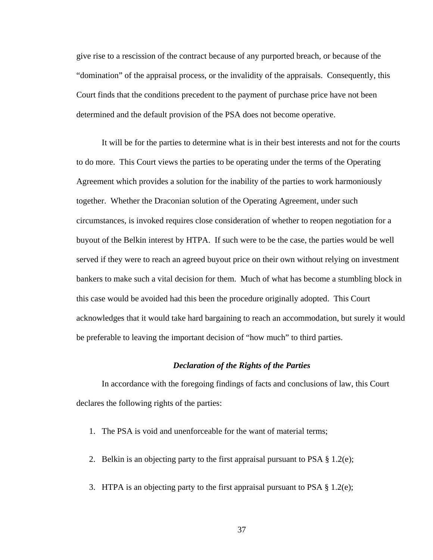give rise to a rescission of the contract because of any purported breach, or because of the "domination" of the appraisal process, or the invalidity of the appraisals. Consequently, this Court finds that the conditions precedent to the payment of purchase price have not been determined and the default provision of the PSA does not become operative.

 It will be for the parties to determine what is in their best interests and not for the courts to do more. This Court views the parties to be operating under the terms of the Operating Agreement which provides a solution for the inability of the parties to work harmoniously together. Whether the Draconian solution of the Operating Agreement, under such circumstances, is invoked requires close consideration of whether to reopen negotiation for a buyout of the Belkin interest by HTPA. If such were to be the case, the parties would be well served if they were to reach an agreed buyout price on their own without relying on investment bankers to make such a vital decision for them. Much of what has become a stumbling block in this case would be avoided had this been the procedure originally adopted. This Court acknowledges that it would take hard bargaining to reach an accommodation, but surely it would be preferable to leaving the important decision of "how much" to third parties.

## *Declaration of the Rights of the Parties*

 In accordance with the foregoing findings of facts and conclusions of law, this Court declares the following rights of the parties:

- 1. The PSA is void and unenforceable for the want of material terms;
- 2. Belkin is an objecting party to the first appraisal pursuant to PSA § 1.2(e);
- 3. HTPA is an objecting party to the first appraisal pursuant to PSA § 1.2(e);